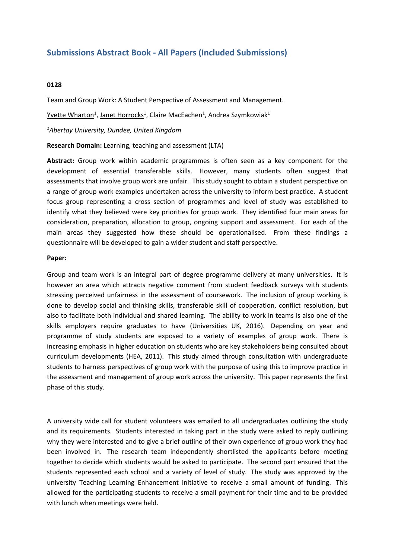## **Submissions Abstract Book - All Papers (Included Submissions)**

## **0128**

Team and Group Work: A Student Perspective of Assessment and Management.

Yvette Wharton<sup>1</sup>, Janet Horrocks<sup>1</sup>, Claire MacEachen<sup>1</sup>, Andrea Szymkowiak<sup>1</sup>

*1 Abertay University, Dundee, United Kingdom*

**Research Domain:** Learning, teaching and assessment (LTA)

**Abstract:** Group work within academic programmes is often seen as <sup>a</sup> key component for the development of essential transferable skills. However, many students often suggest that assessments that involve group work are unfair. This study sought to obtain <sup>a</sup> student perspective on <sup>a</sup> range of group work examples undertaken across the university to inform best practice. A student focus group representing <sup>a</sup> cross section of programmes and level of study was established to identify what they believed were key priorities for group work. They identified four main areas for consideration, preparation, allocation to group, ongoing support and assessment. For each of the main areas they suggested how these should be operationalised. From these findings <sup>a</sup> questionnaire will be developed to gain <sup>a</sup> wider student and staff perspective.

## **Paper:**

Group and team work is an integral part of degree programme delivery at many universities. It is however an area which attracts negative comment from student feedback surveys with students stressing perceived unfairness in the assessment of coursework. The inclusion of group working is done to develop social and thinking skills, transferable skill of cooperation, conflict resolution, but also to facilitate both individual and shared learning. The ability to work in teams is also one of the skills employers require graduates to have (Universities UK, 2016). Depending on year and programme of study students are exposed to <sup>a</sup> variety of examples of group work. There is increasing emphasis in higher education on students who are key stakeholders being consulted about curriculum developments (HEA, 2011). This study aimed through consultation with undergraduate students to harness perspectives of group work with the purpose of using this to improve practice in the assessment and management of group work across the university. This paper represents the first phase of this study.

A university wide call for student volunteers was emailed to all undergraduates outlining the study and its requirements. Students interested in taking part in the study were asked to reply outlining why they were interested and to give <sup>a</sup> brief outline of their own experience of group work they had been involved in. The research team independently shortlisted the applicants before meeting together to decide which students would be asked to participate. The second part ensured that the students represented each school and <sup>a</sup> variety of level of study. The study was approved by the university Teaching Learning Enhancement initiative to receive <sup>a</sup> small amount of funding. This allowed for the participating students to receive <sup>a</sup> small payment for their time and to be provided with lunch when meetings were held.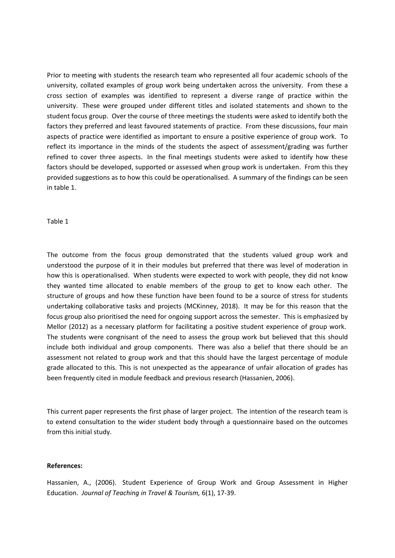Prior to meeting with students the research team who represented all four academic schools of the university, collated examples of group work being undertaken across the university. From these <sup>a</sup> cross section of examples was identified to represent <sup>a</sup> diverse range of practice within the university. These were grouped under different titles and isolated statements and shown to the student focus group. Over the course of three meetings the students were asked to identify both the factors they preferred and least favoured statements of practice. From these discussions, four main aspects of practice were identified as important to ensure <sup>a</sup> positive experience of group work. To reflect its importance in the minds of the students the aspect of assessment/grading was further refined to cover three aspects. In the final meetings students were asked to identify how these factors should be developed, supported or assessed when group work is undertaken. From this they provided suggestions as to how this could be operationalised. A summary of the findings can be seen in table 1.

Table 1

The outcome from the focus group demonstrated that the students valued group work and understood the purpose of it in their modules but preferred that there was level of moderation in how this is operationalised. When students were expected to work with people, they did not know they wanted time allocated to enable members of the group to get to know each other. The structure of groups and how these function have been found to be <sup>a</sup> source of stress for students undertaking collaborative tasks and projects (MCKinney, 2018). It may be for this reason that the focus group also prioritised the need for ongoing support across the semester. This is emphasized by Mellor (2012) as <sup>a</sup> necessary platform for facilitating <sup>a</sup> positive student experience of group work. The students were congnisant of the need to assess the group work but believed that this should include both individual and group components. There was also <sup>a</sup> belief that there should be an assessment not related to group work and that this should have the largest percentage of module grade allocated to this. This is not unexpected as the appearance of unfair allocation of grades has been frequently cited in module feedback and previous research (Hassanien, 2006).

This current paper represents the first phase of larger project. The intention of the research team is to extend consultation to the wider student body through <sup>a</sup> questionnaire based on the outcomes from this initial study.

## **References:**

Hassanien, A., (2006). Student Experience of Group Work and Group Assessment in Higher Education. *Journal of Teaching in Travel &Tourism,* 6(1), 17-39.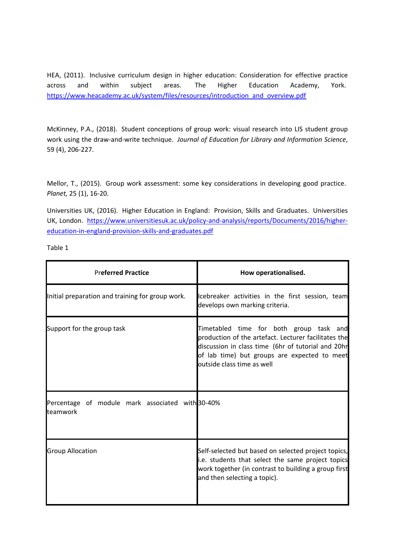HEA, (2011). Inclusive curriculum design in higher education: Consideration for effective practice across and within subject areas. The Higher Education Academy, York. [https://www.heacademy.ac.uk/system/files/resources/introduction\\_and\\_overview.pdf](https://www.heacademy.ac.uk/system/files/resources/introduction_and_overview.pdf)

McKinney, P.A., (2018). Student conceptions of group work: visual research into LIS student group work using the draw-and-write technique. *Journal of Education for Library and Information Science*, 59 (4), 206-227.

Mellor, T., (2015). Group work assessment: some key considerations in developing good practice. *Planet,* 25 (1), 16-20.

Universities UK, (2016). Higher Education in England: Provision, Skills and Graduates. Universities UK, London. [https://www.universitiesuk.ac.uk/policy-and-analysis/reports/Documents/2016/higher](https://www.universitiesuk.ac.uk/policy-and-analysis/reports/Documents/2016/higher-education-in-england-provision-skills-and-graduates.pdf)[education-in-england-provision-skills-and-graduates.pdf](https://www.universitiesuk.ac.uk/policy-and-analysis/reports/Documents/2016/higher-education-in-england-provision-skills-and-graduates.pdf)

Table 1

| <b>Preferred Practice</b>                                             | How operationalised.                                                                                                                                                                                                                         |
|-----------------------------------------------------------------------|----------------------------------------------------------------------------------------------------------------------------------------------------------------------------------------------------------------------------------------------|
| Initial preparation and training for group work.                      | Icebreaker activities in the first session, team<br>develops own marking criteria.                                                                                                                                                           |
| Support for the group task                                            | Timetabled time for both group task and<br>production of the artefact. Lecturer facilitates the<br>discussion in class time (6hr of tutorial and 20hr<br>of lab time) but groups are expected to meet<br><b>l</b> outside class time as well |
| Percentage of module mark associated with 30-40%<br><b>l</b> teamwork |                                                                                                                                                                                                                                              |
| <b>Group Allocation</b>                                               | Self-selected but based on selected project topics,<br>i.e. students that select the same project topics<br>work together (in contrast to building a group first<br>and then selecting a topic).                                             |